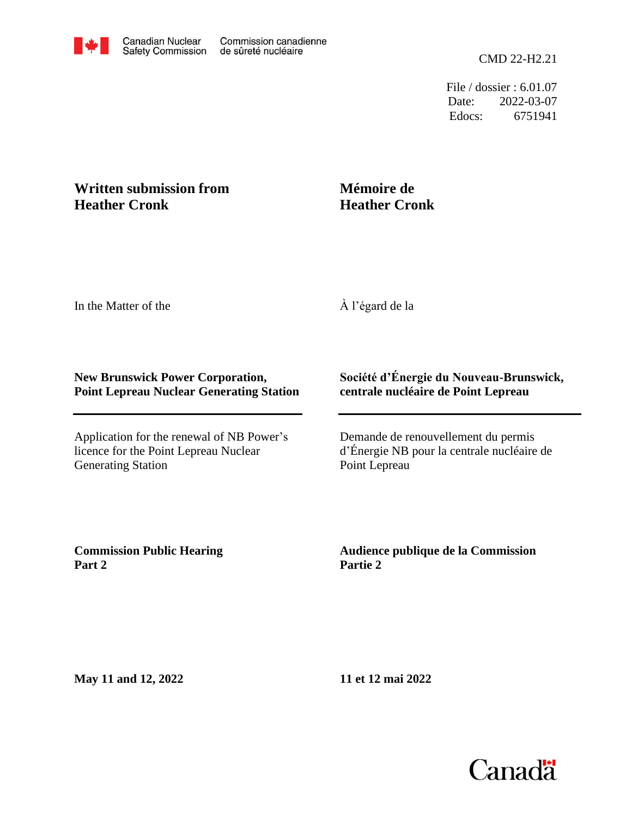File / dossier : 6.01.07 Date: 2022-03-07 Edocs: 6751941

## **Written submission from Heather Cronk**

## **Mémoire de Heather Cronk**

In the Matter of the

À l'égard de la

## **New Brunswick Power Corporation, Point Lepreau Nuclear Generating Station**

Application for the renewal of NB Power's licence for the Point Lepreau Nuclear Generating Station

## **Société d'Énergie du Nouveau-Brunswick, centrale nucléaire de Point Lepreau**

Demande de renouvellement du permis d'Énergie NB pour la centrale nucléaire de Point Lepreau

**Commission Public Hearing Part 2**

**Audience publique de la Commission Partie 2**

**May 11 and 12, 2022**

**11 et 12 mai 2022**